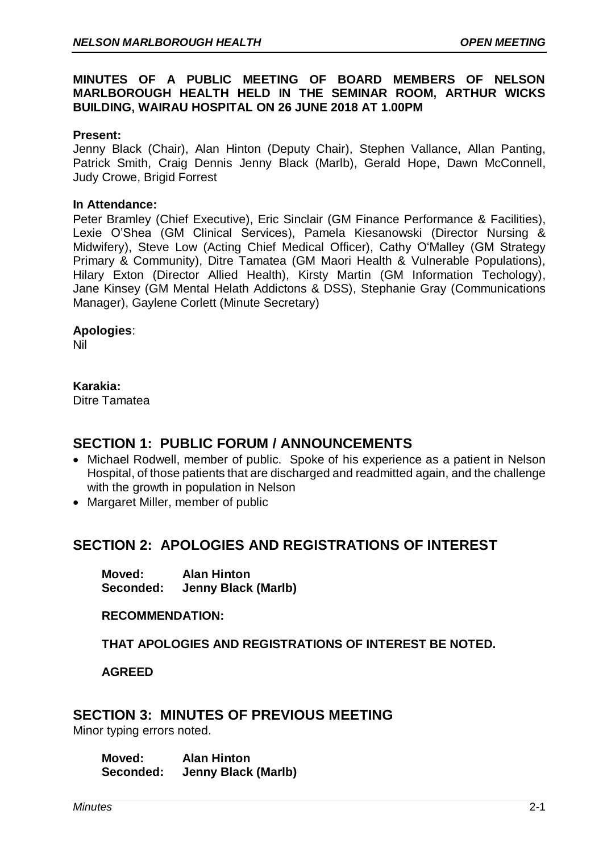### **MINUTES OF A PUBLIC MEETING OF BOARD MEMBERS OF NELSON MARLBOROUGH HEALTH HELD IN THE SEMINAR ROOM, ARTHUR WICKS BUILDING, WAIRAU HOSPITAL ON 26 JUNE 2018 AT 1.00PM**

### **Present:**

Jenny Black (Chair), Alan Hinton (Deputy Chair), Stephen Vallance, Allan Panting, Patrick Smith, Craig Dennis Jenny Black (Marlb), Gerald Hope, Dawn McConnell, Judy Crowe, Brigid Forrest

#### **In Attendance:**

Peter Bramley (Chief Executive), Eric Sinclair (GM Finance Performance & Facilities), Lexie O'Shea (GM Clinical Services), Pamela Kiesanowski (Director Nursing & Midwifery), Steve Low (Acting Chief Medical Officer), Cathy O'Malley (GM Strategy Primary & Community), Ditre Tamatea (GM Maori Health & Vulnerable Populations), Hilary Exton (Director Allied Health), Kirsty Martin (GM Information Techology), Jane Kinsey (GM Mental Helath Addictons & DSS), Stephanie Gray (Communications Manager), Gaylene Corlett (Minute Secretary)

### **Apologies**:

Nil

### **Karakia:**

Ditre Tamatea

## **SECTION 1: PUBLIC FORUM / ANNOUNCEMENTS**

- Michael Rodwell, member of public. Spoke of his experience as a patient in Nelson Hospital, of those patients that are discharged and readmitted again, and the challenge with the growth in population in Nelson
- Margaret Miller, member of public

# **SECTION 2: APOLOGIES AND REGISTRATIONS OF INTEREST**

**Moved: Alan Hinton Seconded: Jenny Black (Marlb)**

**RECOMMENDATION:** 

**THAT APOLOGIES AND REGISTRATIONS OF INTEREST BE NOTED.**

**AGREED** 

# **SECTION 3: MINUTES OF PREVIOUS MEETING**

Minor typing errors noted.

**Moved: Alan Hinton Seconded: Jenny Black (Marlb)**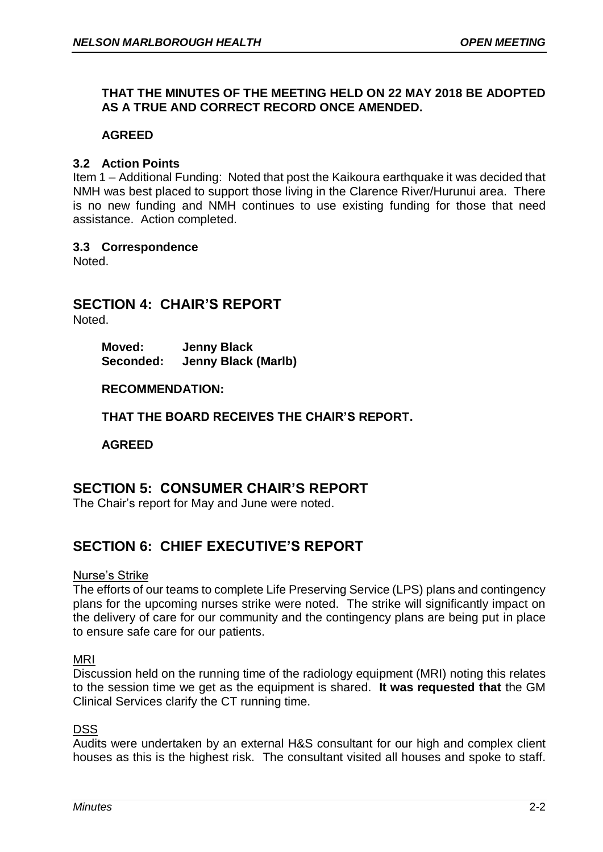### **THAT THE MINUTES OF THE MEETING HELD ON 22 MAY 2018 BE ADOPTED AS A TRUE AND CORRECT RECORD ONCE AMENDED.**

### **AGREED**

### **3.2 Action Points**

Item 1 – Additional Funding: Noted that post the Kaikoura earthquake it was decided that NMH was best placed to support those living in the Clarence River/Hurunui area. There is no new funding and NMH continues to use existing funding for those that need assistance. Action completed.

### **3.3 Correspondence**

Noted.

# **SECTION 4: CHAIR'S REPORT**

Noted.

**Moved: Jenny Black Seconded: Jenny Black (Marlb)**

### **RECOMMENDATION:**

**THAT THE BOARD RECEIVES THE CHAIR'S REPORT.**

**AGREED**

# **SECTION 5: CONSUMER CHAIR'S REPORT**

The Chair's report for May and June were noted.

# **SECTION 6: CHIEF EXECUTIVE'S REPORT**

#### Nurse's Strike

The efforts of our teams to complete Life Preserving Service (LPS) plans and contingency plans for the upcoming nurses strike were noted. The strike will significantly impact on the delivery of care for our community and the contingency plans are being put in place to ensure safe care for our patients.

#### MRI

Discussion held on the running time of the radiology equipment (MRI) noting this relates to the session time we get as the equipment is shared. **It was requested that** the GM Clinical Services clarify the CT running time.

### **DSS**

Audits were undertaken by an external H&S consultant for our high and complex client houses as this is the highest risk. The consultant visited all houses and spoke to staff.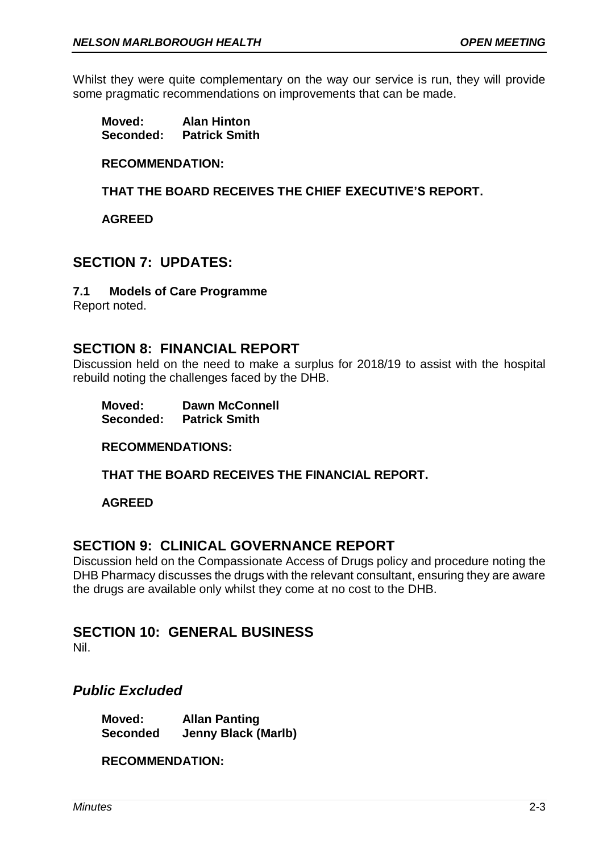Whilst they were quite complementary on the way our service is run, they will provide some pragmatic recommendations on improvements that can be made.

| Moved:    | <b>Alan Hinton</b>   |
|-----------|----------------------|
| Seconded: | <b>Patrick Smith</b> |

### **RECOMMENDATION:**

**THAT THE BOARD RECEIVES THE CHIEF EXECUTIVE'S REPORT.**

**AGREED**

## **SECTION 7: UPDATES:**

### **7.1 Models of Care Programme**

Report noted.

# **SECTION 8: FINANCIAL REPORT**

Discussion held on the need to make a surplus for 2018/19 to assist with the hospital rebuild noting the challenges faced by the DHB.

| Moved:    | <b>Dawn McConnell</b> |
|-----------|-----------------------|
| Seconded: | <b>Patrick Smith</b>  |

**RECOMMENDATIONS:**

**THAT THE BOARD RECEIVES THE FINANCIAL REPORT.**

**AGREED**

## **SECTION 9: CLINICAL GOVERNANCE REPORT**

Discussion held on the Compassionate Access of Drugs policy and procedure noting the DHB Pharmacy discusses the drugs with the relevant consultant, ensuring they are aware the drugs are available only whilst they come at no cost to the DHB.

## **SECTION 10: GENERAL BUSINESS**

Nil.

## *Public Excluded*

**Moved: Allan Panting Seconded Jenny Black (Marlb)**

**RECOMMENDATION:**